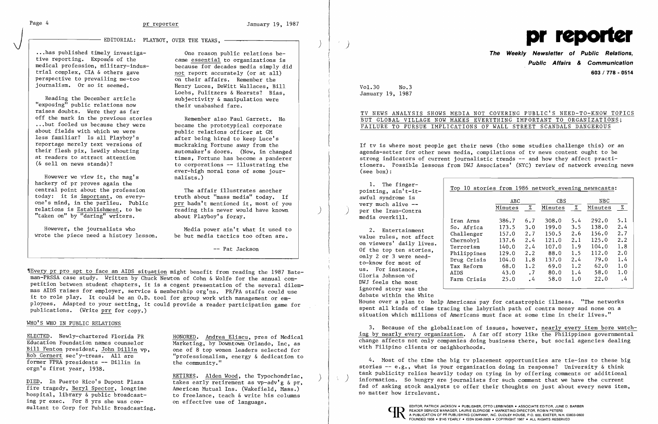# J EDITORIAL: PLAYBOY, OVER THE YEARS, )

...has published timely investiga-<br>tive reporting. Exposes of the came essential to organizations is tive reporting. Expose's of the came essential to organizations is<br>medical profession, military-indus-<br>because for decades media simply d perspective to prevailing me-too<br>journalism. Or so it seemed.

Reading the December article  $\begin{array}{ccc} \text{subjectivity} & \text{manipulation were} \\ \text{crossing'' public relations now} & \text{their unabashed fare.} \end{array}$ "exposing" public relations now raises doubts. Were they as far<br>off the mark in the previous stories off the mark in the previous stories Remember also Paul Garrett. He<br>...but fooled us because they were became the prototypical corporate<br>about fields with which we were public relations officer at GM about fields with which we were public relations officer at GM<br>less familiar? Is all Playboy's after being hired to keep Luce's less familiar? Is all Playboy's<br>reportage merely text versions of reportage merely text versions of muckraking Fortune away from the their flesh pix, lewdly shouting and automaker's doors. (Now, in chara

However we view it, the mag's hackery of pr proves again the central point about the profession<br>
today: it is important, on every-<br>
truth about "mass media" today. If today: it is important, on every-<br>one's mind, in the parlieu. Public relations is Establishment, to be **reading this never would have known** "taken on" by "daring" writers. <br>
"taken on" by "daring" writers. <br>
about Playboy's foray.

wrote the piece need a history lesson.

medical profession, military-indus-<br>trial complex, CIA & others gave because for decades media simply did not report accurately (or at all)<br>on their affairs. Remember the Henry Luces, DeWitt Wallaces, Bill Loebs, Pulitzers & Hearsts? Bias.

their flesh pix, lewdly shouting automaker's doors. (Now, in changed<br>at readers to attract attention times. Fortune has become a panderer at readers to attract attention times, Fortune has become a panderer ( $\&$  sell on news stands)? to corporations -- illustrating the ever-high moral tone of some jour-

prr hadn't mentioned it, most of you<br>reading this never would have known

However, the journalists who Media power ain't what it used to<br>be the piece need a history lesson. be but media tactics too often are.

Bill Fenton president, John Dillin vp,<br>Bob Gernert sec'y-treas. All are former FPRA presidents  $-$  Dillin in orgn's first year, 1938.

ing pr exec. For 8 yrs she was consultant to Corp for Public Broadcasting.

ELECTED. Newly-chartered Florida PR HONORED. Andrea Eliscu, pres of Medical<br>Education Foundation names counselor Marketing, by Downtown Orlando. Inc. as Marketing, by Downtown Orlando, Inc, as<br>one of 8 top women leaders selected for "professionalism, energy  $\&$  dedication to the community."

DIED. In Puerto Rico's Dupont Plaza **18 RETIRES.** Alden Wood, the Typochondriac,<br>
fire tragedy, Beryl Spector, longtime 4 American Mutual Ins. (Wakefield, Mass.) American Mutual Ins. (Wakefield, Mass.) hospital, library  $\&$  public broadcast-<br>ing pr exec. For 8 yrs she was con-<br>on effective use of language.

Vol. 30 No. 3 January 19, 1987

 $\sim$ 

-- Pat Jackson

~rEvery pr pro apt to face an AIDS situation might benefit from reading the 1987 Bateman-PRSSA case study. Written by Chuck Newton of Cohn & Wolfe for the annual competition between student chapters, it is a cogent presentation of the several dilemmas AIDS raises for employer, service & membership org'ns. PR/PA staffs could use it to role play. It could be an O.D. tool for group work with management or employees. Adapted to your setting, it could provide a reader participation game for publications. (Write prr for copy.)

### WHO'S WHO IN PUBLIC RELATIONS



**The Weekly Newsletter of Public Relations, Public Affairs & Communication 603/778 - 0514** 

TV NEWS ANALYSIS SHOWS MEDIA NOT COVERING PUBLIC'S NEED-TO-KNOW TOPICS BUT GLOBAL VILLAGE NOW MAKES EVERYTHING IMPORTANT TO ORGANIZATIONS;

## FAILURE TO PURSUE IMPLICATIONS OF WALL STREET SCANDALS DANGEROUS

If tv is where most people get their news (tho some studies challenge this) or an agenda-setter for other news media, compilations of tv news content ought to be strong indicators of current journalistic trends -- and how they affect practitioners. Possible lessons from DWJ Associates' (NYC) review of network evening news (see box):

|  | The finger-<br>pointing, ain't-it-<br>awful syndrome is<br>very much alive $-$                                                                                                                                                  | Top 10 stories from 1986 network evening newscasts: |         |             |         |     |         |         |
|--|---------------------------------------------------------------------------------------------------------------------------------------------------------------------------------------------------------------------------------|-----------------------------------------------------|---------|-------------|---------|-----|---------|---------|
|  |                                                                                                                                                                                                                                 |                                                     | ABC.    |             | CBS.    |     | NBC.    |         |
|  |                                                                                                                                                                                                                                 |                                                     | Minutes | %           | Minutes | %   | Minutes | %       |
|  | per the Iran-Contra                                                                                                                                                                                                             |                                                     |         |             |         |     |         |         |
|  | media overkill.                                                                                                                                                                                                                 | Iran Arms                                           | 386.7   | 6.7         | 308.0   | 5.4 | 292.0   | 5.1     |
|  | 2.<br>Entertainment<br>value rules, not affect<br>on viewers' daily lives.<br>Of the top ten stories,<br>only 2 or 3 were need-<br>to-know for most of<br>us. For instance,<br>Gloria Johnson 'of<br>DWJ feels the most         | So. Africa                                          | 173.5   | 3.0         | 199.0   | 3.5 | 138.0   | 2.4     |
|  |                                                                                                                                                                                                                                 | Challenger                                          | 157.0   | 2.7         | 150.5   | 2.6 | 156.0   | 2.7     |
|  |                                                                                                                                                                                                                                 | Chernobyl                                           | 137.6   | 2.4         | 121.0   | 2.1 | 125.0   | 2, 2    |
|  |                                                                                                                                                                                                                                 | Terrorism                                           | 140.0   | 2.4         | 107.0   | 1.9 | 104.0   | 1.8     |
|  |                                                                                                                                                                                                                                 | Philippines                                         | 129.0   | $2 \cdot 2$ | 88.0    | 1.5 | 112.0   | 2.0     |
|  |                                                                                                                                                                                                                                 | Drug Crisis                                         | 104.0   | 1.8         | 137.0   | 2.4 | 79.0    | 1.4     |
|  |                                                                                                                                                                                                                                 | Tax Reform                                          | 68.0    | 1.2         | 69.0    | 1.2 | 62.0    | 1.0     |
|  |                                                                                                                                                                                                                                 | <b>AIDS</b>                                         | 43.0    | $\cdot$ 7   | 80.0    | 1.4 | 58.0    | 1.0     |
|  |                                                                                                                                                                                                                                 | Farm Crisis                                         | 25.0    | $\cdot$ 4   | 58.0    | 1.0 | 22.0    | $\cdot$ |
|  | $\sim$ . The contract of the contract of the contract of the contract of the contract of the contract of the contract of the contract of the contract of the contract of the contract of the contract of the contract of the co |                                                     |         |             |         |     |         |         |

ignored story was the debate within the White

House over a plan to help Americans pay for catastrophic illness. "The networks spent all kinds of time tracing the labyrinth path of contra money and none on a situation which millions of Americans must face at some time in their lives."

3. Because of the globalization of issues, however, nearly every item bore watching by nearly every organization. A far off story like the Philippines governmental change affects not only companies doing business there, but social agencies dealing with Filipino clients or neighborhoods.

4. Most of the time the big tv placement opportunities are tie-ins to these big stories  $-$ - e.g., what is your organization doing in response? University & think tank publicity relies heavily today on tying in by offering comments or additional  $\langle \rangle$  information. So hungry are journalists for such comment that we have the current fad of asking stock analysts to offer their thoughts on just about every news item, no matter how irrelevant.